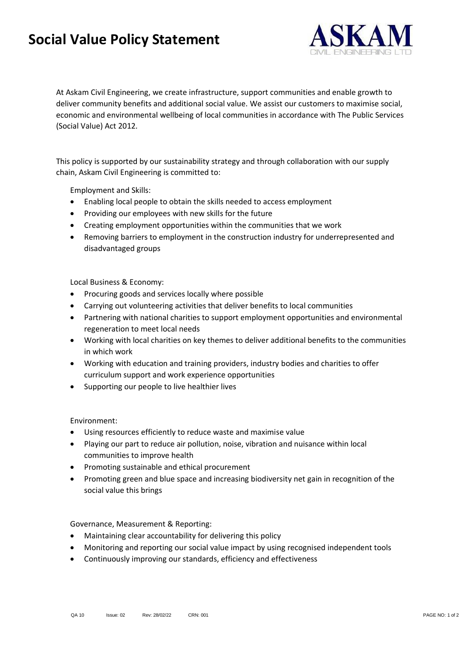## **Social Value Policy Statement**



At Askam Civil Engineering, we create infrastructure, support communities and enable growth to deliver community benefits and additional social value. We assist our customers to maximise social, economic and environmental wellbeing of local communities in accordance with The Public Services (Social Value) Act 2012.

This policy is supported by our sustainability strategy and through collaboration with our supply chain, Askam Civil Engineering is committed to:

Employment and Skills:

- Enabling local people to obtain the skills needed to access employment
- Providing our employees with new skills for the future
- Creating employment opportunities within the communities that we work
- Removing barriers to employment in the construction industry for underrepresented and disadvantaged groups

Local Business & Economy:

- Procuring goods and services locally where possible
- Carrying out volunteering activities that deliver benefits to local communities
- Partnering with national charities to support employment opportunities and environmental regeneration to meet local needs
- Working with local charities on key themes to deliver additional benefits to the communities in which work
- Working with education and training providers, industry bodies and charities to offer curriculum support and work experience opportunities
- Supporting our people to live healthier lives

Environment:

- Using resources efficiently to reduce waste and maximise value
- Playing our part to reduce air pollution, noise, vibration and nuisance within local communities to improve health
- Promoting sustainable and ethical procurement
- Promoting green and blue space and increasing biodiversity net gain in recognition of the social value this brings

Governance, Measurement & Reporting:

- Maintaining clear accountability for delivering this policy
- Monitoring and reporting our social value impact by using recognised independent tools
- Continuously improving our standards, efficiency and effectiveness